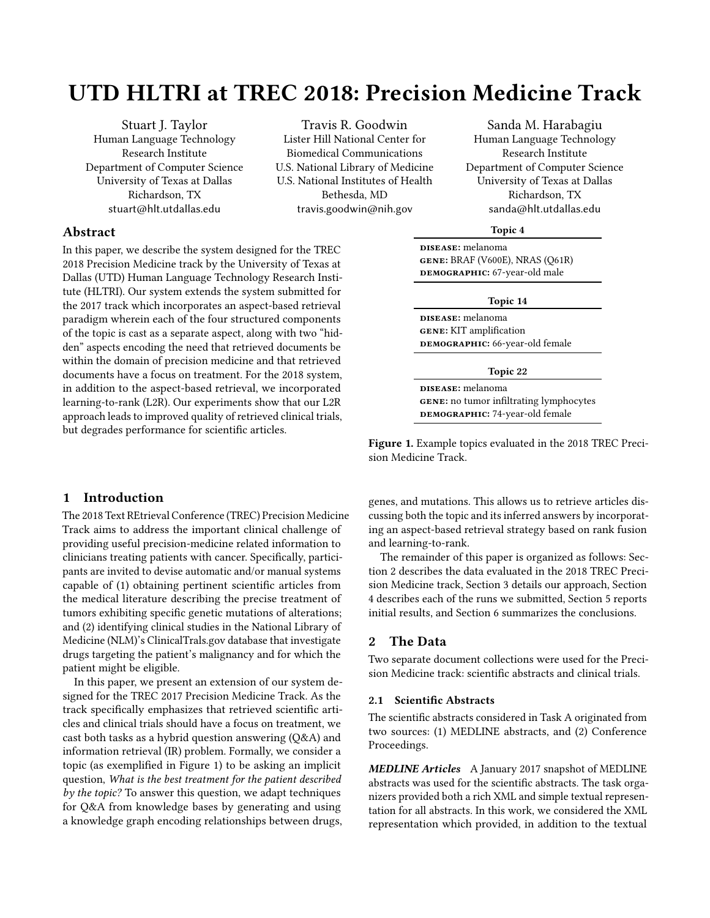# UTD HLTRI at TREC 2018: Precision Medicine Track

Stuart J. Taylor Human Language Technology Research Institute Department of Computer Science University of Texas at Dallas Richardson, TX stuart@hlt.utdallas.edu

Travis R. Goodwin Lister Hill National Center for Biomedical Communications U.S. National Library of Medicine U.S. National Institutes of Health Bethesda, MD travis.goodwin@nih.gov

Sanda M. Harabagiu Human Language Technology Research Institute Department of Computer Science University of Texas at Dallas Richardson, TX sanda@hlt.utdallas.edu

# Abstract

In this paper, we describe the system designed for the TREC 2018 Precision Medicine track by the University of Texas at Dallas (UTD) Human Language Technology Research Institute (HLTRI). Our system extends the system submitted for the 2017 track which incorporates an aspect-based retrieval paradigm wherein each of the four structured components of the topic is cast as a separate aspect, along with two "hidden" aspects encoding the need that retrieved documents be within the domain of precision medicine and that retrieved documents have a focus on treatment. For the 2018 system, in addition to the aspect-based retrieval, we incorporated learning-to-rank (L2R). Our experiments show that our L2R approach leads to improved quality of retrieved clinical trials, but degrades performance for scientific articles.

# 1 Introduction

The 2018 Text REtrieval Conference (TREC) Precision Medicine Track aims to address the important clinical challenge of providing useful precision-medicine related information to clinicians treating patients with cancer. Specifically, participants are invited to devise automatic and/or manual systems capable of (1) obtaining pertinent scientific articles from the medical literature describing the precise treatment of tumors exhibiting specific genetic mutations of alterations; and (2) identifying clinical studies in the National Library of Medicine (NLM)'s ClinicalTrals.gov database that investigate drugs targeting the patient's malignancy and for which the patient might be eligible.

In this paper, we present an extension of our system designed for the TREC 2017 Precision Medicine Track. As the track specifically emphasizes that retrieved scientific articles and clinical trials should have a focus on treatment, we cast both tasks as a hybrid question answering (Q&A) and information retrieval (IR) problem. Formally, we consider a topic (as exemplified in Figure [1\)](#page-0-0) to be asking an implicit question, What is the best treatment for the patient described by the topic? To answer this question, we adapt techniques for Q&A from knowledge bases by generating and using a knowledge graph encoding relationships between drugs,

#### Topic 4

<span id="page-0-0"></span>DISEASE: melanoma gene: BRAF (V600E), NRAS (Q61R) DEMOGRAPHIC: 67-year-old male

#### Topic 14

DISEASE: melanoma gene: KIT amplification DEMOGRAPHIC: 66-year-old female

#### Topic 22

DISEASE: melanoma GENE: no tumor infiltrating lymphocytes DEMOGRAPHIC: 74-year-old female

Figure 1. Example topics evaluated in the 2018 TREC Precision Medicine Track.

genes, and mutations. This allows us to retrieve articles discussing both the topic and its inferred answers by incorporating an aspect-based retrieval strategy based on rank fusion and learning-to-rank.

The remainder of this paper is organized as follows: Section 2 describes the data evaluated in the 2018 TREC Precision Medicine track, Section 3 details our approach, Section 4 describes each of the runs we submitted, Section 5 reports initial results, and Section 6 summarizes the conclusions.

# 2 The Data

Two separate document collections were used for the Precision Medicine track: scientific abstracts and clinical trials.

### 2.1 Scientific Abstracts

The scientific abstracts considered in Task A originated from two sources: (1) MEDLINE abstracts, and (2) Conference Proceedings.

MEDLINE Articles A January 2017 snapshot of MEDLINE abstracts was used for the scientific abstracts. The task organizers provided both a rich XML and simple textual representation for all abstracts. In this work, we considered the XML representation which provided, in addition to the textual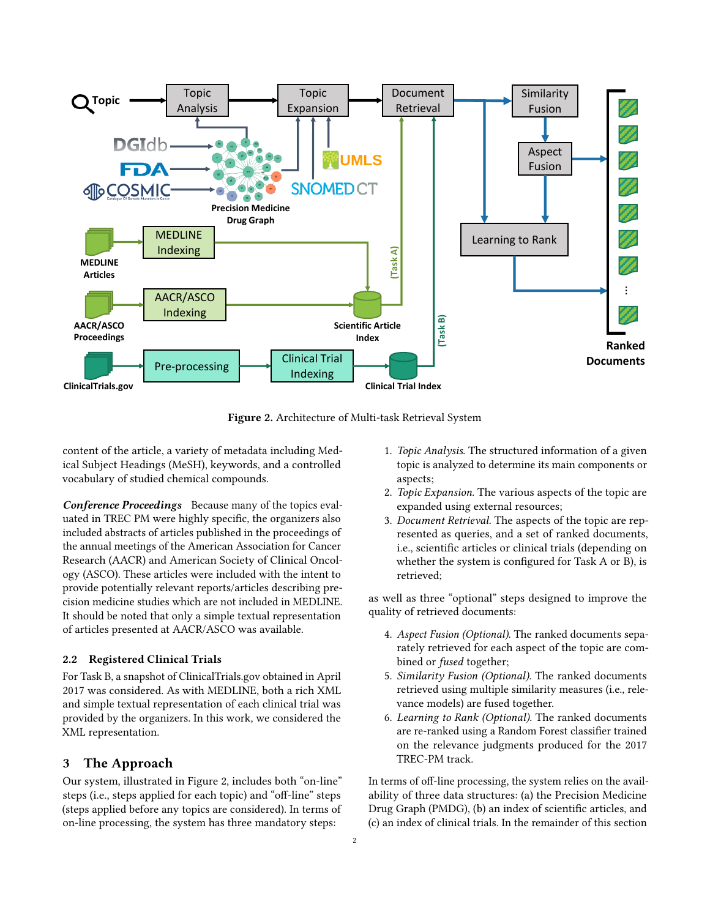<span id="page-1-0"></span>

Figure 2. Architecture of Multi-task Retrieval System

content of the article, a variety of metadata including Medical Subject Headings (MeSH), keywords, and a controlled vocabulary of studied chemical compounds.

Conference Proceedings Because many of the topics evaluated in TREC PM were highly specific, the organizers also included abstracts of articles published in the proceedings of the annual meetings of the American Association for Cancer Research (AACR) and American Society of Clinical Oncology (ASCO). These articles were included with the intent to provide potentially relevant reports/articles describing precision medicine studies which are not included in MEDLINE. It should be noted that only a simple textual representation of articles presented at AACR/ASCO was available.

# 2.2 Registered Clinical Trials

For Task B, a snapshot of ClinicalTrials.gov obtained in April 2017 was considered. As with MEDLINE, both a rich XML and simple textual representation of each clinical trial was provided by the organizers. In this work, we considered the XML representation.

# 3 The Approach

Our system, illustrated in Figure [2,](#page-1-0) includes both "on-line" steps (i.e., steps applied for each topic) and "off-line" steps (steps applied before any topics are considered). In terms of on-line processing, the system has three mandatory steps:

- 1. Topic Analysis. The structured information of a given topic is analyzed to determine its main components or aspects;
- 2. Topic Expansion. The various aspects of the topic are expanded using external resources;
- 3. Document Retrieval. The aspects of the topic are represented as queries, and a set of ranked documents, i.e., scientific articles or clinical trials (depending on whether the system is configured for Task A or B), is retrieved;

as well as three "optional" steps designed to improve the quality of retrieved documents:

- 4. Aspect Fusion (Optional). The ranked documents separately retrieved for each aspect of the topic are combined or *fused* together;
- 5. Similarity Fusion (Optional). The ranked documents retrieved using multiple similarity measures (i.e., relevance models) are fused together.
- 6. Learning to Rank (Optional). The ranked documents are re-ranked using a Random Forest classifier trained on the relevance judgments produced for the 2017 TREC-PM track.

In terms of off-line processing, the system relies on the availability of three data structures: (a) the Precision Medicine Drug Graph (PMDG), (b) an index of scientific articles, and (c) an index of clinical trials. In the remainder of this section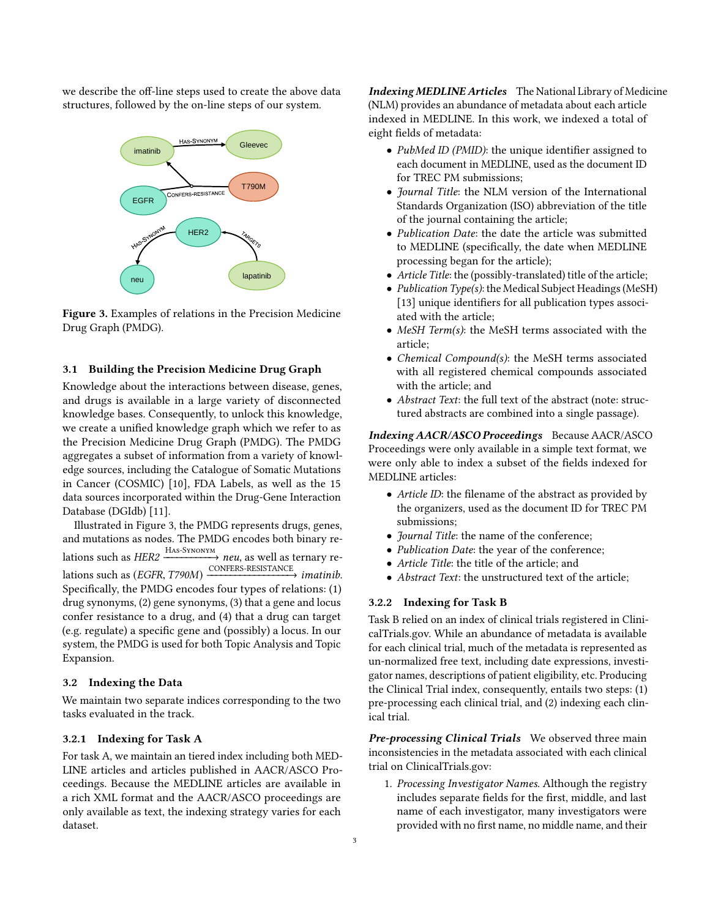<span id="page-2-0"></span>we describe the off-line steps used to create the above data structures, followed by the on-line steps of our system.



Figure 3. Examples of relations in the Precision Medicine Drug Graph (PMDG).

# 3.1 Building the Precision Medicine Drug Graph

Knowledge about the interactions between disease, genes, and drugs is available in a large variety of disconnected knowledge bases. Consequently, to unlock this knowledge, we create a unified knowledge graph which we refer to as the Precision Medicine Drug Graph (PMDG). The PMDG aggregates a subset of information from a variety of knowledge sources, including the Catalogue of Somatic Mutations in Cancer (COSMIC) [\[10\]](#page-8-0), FDA Labels, as well as the 15 data sources incorporated within the Drug-Gene Interaction Database (DGIdb) [\[11\]](#page-8-1).

Illustrated in Figure [3,](#page-2-0) the PMDG represents drugs, genes, and mutations as nodes. The PMDG encodes both binary relations such as HER2 Has-Synonym −−−−−−−−−−→ neu, as well as ternary relations such as (EGFR, T790M) CONFERS-RESISTANCE −−−−−−−−−−−−−−−−−→ imatinib. Specifically, the PMDG encodes four types of relations: (1) drug synonyms, (2) gene synonyms, (3) that a gene and locus confer resistance to a drug, and (4) that a drug can target (e.g. regulate) a specific gene and (possibly) a locus. In our system, the PMDG is used for both Topic Analysis and Topic Expansion.

## 3.2 Indexing the Data

We maintain two separate indices corresponding to the two tasks evaluated in the track.

# 3.2.1 Indexing for Task A

For task A, we maintain an tiered index including both MED-LINE articles and articles published in AACR/ASCO Proceedings. Because the MEDLINE articles are available in a rich XML format and the AACR/ASCO proceedings are only available as text, the indexing strategy varies for each dataset.

Indexing MEDLINE Articles The National Library of Medicine (NLM) provides an abundance of metadata about each article indexed in MEDLINE. In this work, we indexed a total of eight fields of metadata:

- PubMed ID (PMID): the unique identifier assigned to each document in MEDLINE, used as the document ID for TREC PM submissions;
- Journal Title: the NLM version of the International Standards Organization (ISO) abbreviation of the title of the journal containing the article;
- Publication Date: the date the article was submitted to MEDLINE (specifically, the date when MEDLINE processing began for the article);
- Article Title: the (possibly-translated) title of the article;
- Publication Type(s): the Medical Subject Headings (MeSH) [\[13\]](#page-8-2) unique identifiers for all publication types associated with the article;
- MeSH Term(s): the MeSH terms associated with the article;
- Chemical Compound(s): the MeSH terms associated with all registered chemical compounds associated with the article; and
- Abstract Text: the full text of the abstract (note: structured abstracts are combined into a single passage).

Indexing AACR/ASCO Proceedings Because AACR/ASCO Proceedings were only available in a simple text format, we were only able to index a subset of the fields indexed for MEDLINE articles:

- Article ID: the filename of the abstract as provided by the organizers, used as the document ID for TREC PM submissions;
- Journal Title: the name of the conference;
- Publication Date: the year of the conference;
- Article Title: the title of the article; and
- Abstract Text: the unstructured text of the article;

#### 3.2.2 Indexing for Task B

Task B relied on an index of clinical trials registered in ClinicalTrials.gov. While an abundance of metadata is available for each clinical trial, much of the metadata is represented as un-normalized free text, including date expressions, investigator names, descriptions of patient eligibility, etc. Producing the Clinical Trial index, consequently, entails two steps: (1) pre-processing each clinical trial, and (2) indexing each clinical trial.

Pre-processing Clinical Trials We observed three main inconsistencies in the metadata associated with each clinical trial on ClinicalTrials.gov:

1. Processing Investigator Names. Although the registry includes separate fields for the first, middle, and last name of each investigator, many investigators were provided with no first name, no middle name, and their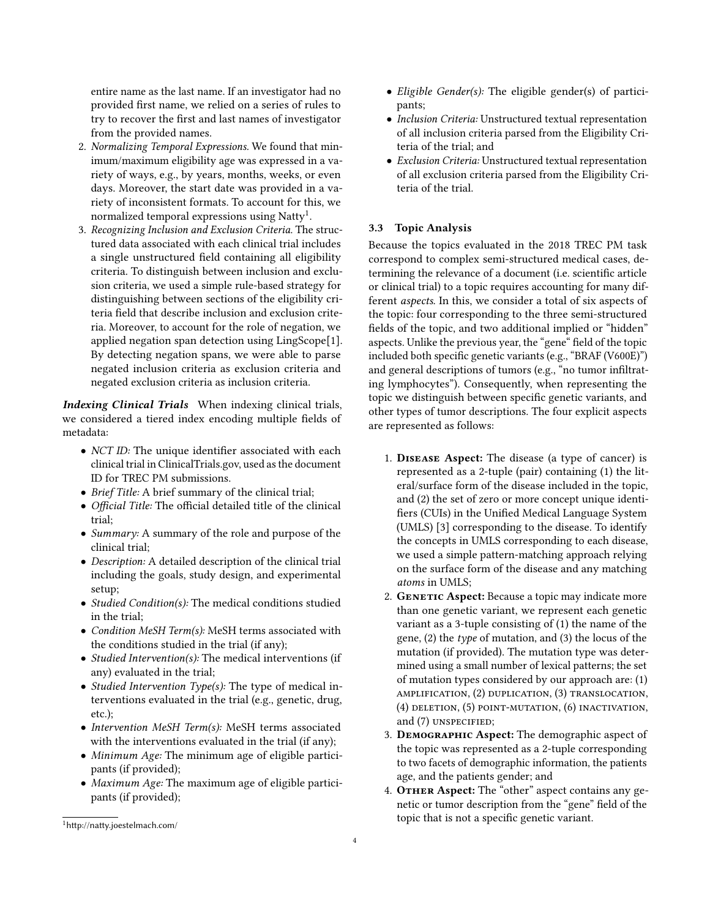entire name as the last name. If an investigator had no provided first name, we relied on a series of rules to try to recover the first and last names of investigator from the provided names.

- 2. Normalizing Temporal Expressions. We found that minimum/maximum eligibility age was expressed in a variety of ways, e.g., by years, months, weeks, or even days. Moreover, the start date was provided in a variety of inconsistent formats. To account for this, we normalized temporal expressions using  $\mathrm{Natty^1}.$  $\mathrm{Natty^1}.$  $\mathrm{Natty^1}.$
- 3. Recognizing Inclusion and Exclusion Criteria. The structured data associated with each clinical trial includes a single unstructured field containing all eligibility criteria. To distinguish between inclusion and exclusion criteria, we used a simple rule-based strategy for distinguishing between sections of the eligibility criteria field that describe inclusion and exclusion criteria. Moreover, to account for the role of negation, we applied negation span detection using LingScope[\[1\]](#page-7-0). By detecting negation spans, we were able to parse negated inclusion criteria as exclusion criteria and negated exclusion criteria as inclusion criteria.

Indexing Clinical Trials When indexing clinical trials, we considered a tiered index encoding multiple fields of metadata:

- NCT ID: The unique identifier associated with each clinical trial in ClinicalTrials.gov, used as the document ID for TREC PM submissions.
- Brief Title: A brief summary of the clinical trial;
- Official Title: The official detailed title of the clinical trial;
- Summary: A summary of the role and purpose of the clinical trial;
- Description: A detailed description of the clinical trial including the goals, study design, and experimental setup;
- Studied Condition(s): The medical conditions studied in the trial;
- Condition MeSH Term(s): MeSH terms associated with the conditions studied in the trial (if any);
- Studied Intervention(s): The medical interventions (if any) evaluated in the trial;
- *Studied Intervention Type(s)*: The type of medical interventions evaluated in the trial (e.g., genetic, drug, etc.);
- Intervention MeSH Term(s): MeSH terms associated with the interventions evaluated in the trial (if any);
- Minimum Age: The minimum age of eligible participants (if provided);
- Maximum Age: The maximum age of eligible participants (if provided);
- Inclusion Criteria: Unstructured textual representation of all inclusion criteria parsed from the Eligibility Criteria of the trial; and
- Exclusion Criteria: Unstructured textual representation of all exclusion criteria parsed from the Eligibility Criteria of the trial.

# 3.3 Topic Analysis

Because the topics evaluated in the 2018 TREC PM task correspond to complex semi-structured medical cases, determining the relevance of a document (i.e. scientific article or clinical trial) to a topic requires accounting for many different aspects. In this, we consider a total of six aspects of the topic: four corresponding to the three semi-structured fields of the topic, and two additional implied or "hidden" aspects. Unlike the previous year, the "gene" field of the topic included both specific genetic variants (e.g., "BRAF (V600E)") and general descriptions of tumors (e.g., "no tumor infiltrating lymphocytes"). Consequently, when representing the topic we distinguish between specific genetic variants, and other types of tumor descriptions. The four explicit aspects are represented as follows:

- 1. Disease Aspect: The disease (a type of cancer) is represented as a 2-tuple (pair) containing (1) the literal/surface form of the disease included in the topic, and (2) the set of zero or more concept unique identifiers (CUIs) in the Unified Medical Language System (UMLS) [\[3\]](#page-8-3) corresponding to the disease. To identify the concepts in UMLS corresponding to each disease, we used a simple pattern-matching approach relying on the surface form of the disease and any matching atoms in UMLS;
- 2. GENETIC Aspect: Because a topic may indicate more than one genetic variant, we represent each genetic variant as a 3-tuple consisting of (1) the name of the gene, (2) the type of mutation, and (3) the locus of the mutation (if provided). The mutation type was determined using a small number of lexical patterns; the set of mutation types considered by our approach are: (1) amplification, (2) duplication, (3) translocation, (4) deletion, (5) point-mutation, (6) inactivation, and (7) UNSPECIFIED;
- 3. Demographic Aspect: The demographic aspect of the topic was represented as a 2-tuple corresponding to two facets of demographic information, the patients age, and the patients gender; and
- 4. OTHER Aspect: The "other" aspect contains any genetic or tumor description from the "gene" field of the topic that is not a specific genetic variant.

<sup>•</sup> Eligible Gender(s): The eligible gender(s) of participants;

<span id="page-3-0"></span><sup>1</sup><http://natty.joestelmach.com/>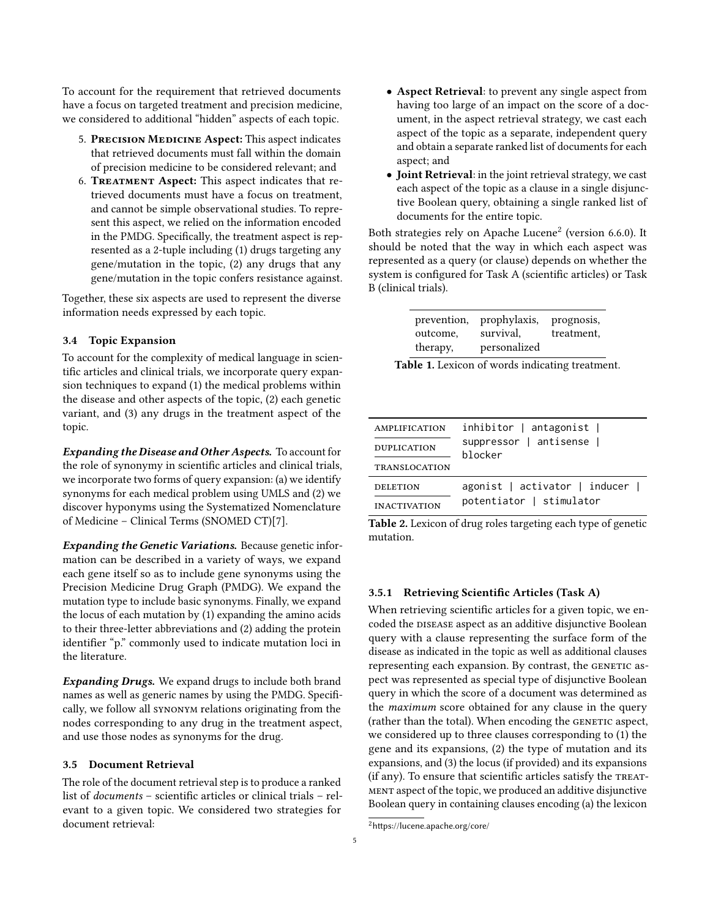To account for the requirement that retrieved documents have a focus on targeted treatment and precision medicine, we considered to additional "hidden" aspects of each topic.

- 5. PRECISION MEDICINE Aspect: This aspect indicates that retrieved documents must fall within the domain of precision medicine to be considered relevant; and
- 6. Treatment Aspect: This aspect indicates that retrieved documents must have a focus on treatment, and cannot be simple observational studies. To represent this aspect, we relied on the information encoded in the PMDG. Specifically, the treatment aspect is represented as a 2-tuple including (1) drugs targeting any gene/mutation in the topic, (2) any drugs that any gene/mutation in the topic confers resistance against.

Together, these six aspects are used to represent the diverse information needs expressed by each topic.

## 3.4 Topic Expansion

To account for the complexity of medical language in scientific articles and clinical trials, we incorporate query expansion techniques to expand (1) the medical problems within the disease and other aspects of the topic, (2) each genetic variant, and (3) any drugs in the treatment aspect of the topic.

Expanding the Disease and Other Aspects. To account for the role of synonymy in scientific articles and clinical trials, we incorporate two forms of query expansion: (a) we identify synonyms for each medical problem using UMLS and (2) we discover hyponyms using the Systematized Nomenclature of Medicine – Clinical Terms (SNOMED CT)[\[7\]](#page-8-4).

Expanding the Genetic Variations. Because genetic information can be described in a variety of ways, we expand each gene itself so as to include gene synonyms using the Precision Medicine Drug Graph (PMDG). We expand the mutation type to include basic synonyms. Finally, we expand the locus of each mutation by (1) expanding the amino acids to their three-letter abbreviations and (2) adding the protein identifier "p." commonly used to indicate mutation loci in the literature.

Expanding Drugs. We expand drugs to include both brand names as well as generic names by using the PMDG. Specifically, we follow all synonym relations originating from the nodes corresponding to any drug in the treatment aspect, and use those nodes as synonyms for the drug.

# 3.5 Document Retrieval

The role of the document retrieval step is to produce a ranked list of documents – scientific articles or clinical trials – relevant to a given topic. We considered two strategies for document retrieval:

- Aspect Retrieval: to prevent any single aspect from having too large of an impact on the score of a document, in the aspect retrieval strategy, we cast each aspect of the topic as a separate, independent query and obtain a separate ranked list of documents for each aspect; and
- Joint Retrieval: in the joint retrieval strategy, we cast each aspect of the topic as a clause in a single disjunctive Boolean query, obtaining a single ranked list of documents for the entire topic.

Both strategies rely on Apache Lucene $^2$  $^2$  (version 6.6.0). It should be noted that the way in which each aspect was represented as a query (or clause) depends on whether the system is configured for Task A (scientific articles) or Task B (clinical trials).

<span id="page-4-1"></span>

| prevention,<br>outcome,<br>therapy, | prophylaxis,<br>survival,<br>personalized | prognosis,<br>treatment, |
|-------------------------------------|-------------------------------------------|--------------------------|
|-------------------------------------|-------------------------------------------|--------------------------|

Table 1. Lexicon of words indicating treatment.

<span id="page-4-2"></span>

| AMPLIFICATION        | $inhibitor$   antagonist         |
|----------------------|----------------------------------|
| <b>DUPLICATION</b>   | suppressor   antisense           |
| <b>TRANSLOCATION</b> | blocker                          |
| <b>DELETION</b>      | $a$ gonist   activator   inducer |
| <b>INACTIVATION</b>  | potentiator   stimulator         |

Table 2. Lexicon of drug roles targeting each type of genetic mutation.

# 3.5.1 Retrieving Scientific Articles (Task A)

When retrieving scientific articles for a given topic, we encoded the DISEASE aspect as an additive disjunctive Boolean query with a clause representing the surface form of the disease as indicated in the topic as well as additional clauses representing each expansion. By contrast, the GENETIC aspect was represented as special type of disjunctive Boolean query in which the score of a document was determined as the maximum score obtained for any clause in the query (rather than the total). When encoding the GENETIC aspect, we considered up to three clauses corresponding to (1) the gene and its expansions, (2) the type of mutation and its expansions, and (3) the locus (if provided) and its expansions (if any). To ensure that scientific articles satisfy the TREATment aspect of the topic, we produced an additive disjunctive Boolean query in containing clauses encoding (a) the lexicon

<span id="page-4-0"></span><sup>2</sup><https://lucene.apache.org/core/>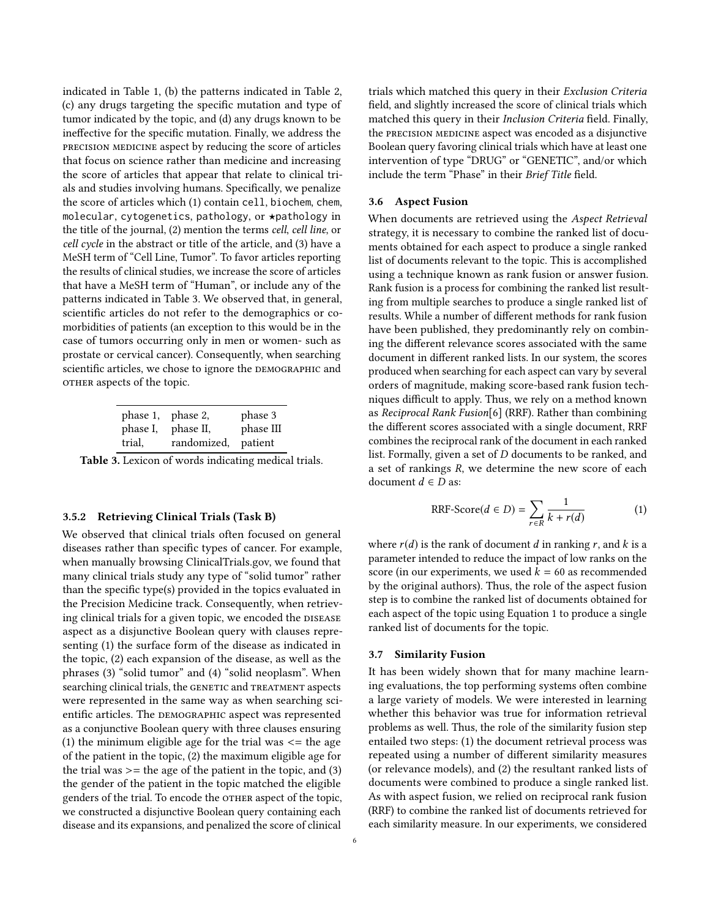indicated in Table [1,](#page-4-1) (b) the patterns indicated in Table [2,](#page-4-2) (c) any drugs targeting the specific mutation and type of tumor indicated by the topic, and (d) any drugs known to be ineffective for the specific mutation. Finally, we address the precision medicine aspect by reducing the score of articles that focus on science rather than medicine and increasing the score of articles that appear that relate to clinical trials and studies involving humans. Specifically, we penalize the score of articles which (1) contain cell, biochem, chem, molecular, cytogenetics, pathology, or \*pathology in the title of the journal, (2) mention the terms cell, cell line, or cell cycle in the abstract or title of the article, and (3) have a MeSH term of "Cell Line, Tumor". To favor articles reporting the results of clinical studies, we increase the score of articles that have a MeSH term of "Human", or include any of the patterns indicated in Table [3.](#page-5-0) We observed that, in general, scientific articles do not refer to the demographics or comorbidities of patients (an exception to this would be in the case of tumors occurring only in men or women- such as prostate or cervical cancer). Consequently, when searching scientific articles, we chose to ignore the DEMOGRAPHIC and OTHER aspects of the topic.

<span id="page-5-0"></span>

|                    | phase 1, phase 2,                | phase 3   |
|--------------------|----------------------------------|-----------|
| phase I,<br>trial, | phase II,<br>randomized, patient | phase III |
|                    |                                  |           |

Table 3. Lexicon of words indicating medical trials.

### 3.5.2 Retrieving Clinical Trials (Task B)

We observed that clinical trials often focused on general diseases rather than specific types of cancer. For example, when manually browsing ClinicalTrials.gov, we found that many clinical trials study any type of "solid tumor" rather than the specific type(s) provided in the topics evaluated in the Precision Medicine track. Consequently, when retrieving clinical trials for a given topic, we encoded the DISEASE aspect as a disjunctive Boolean query with clauses representing (1) the surface form of the disease as indicated in the topic, (2) each expansion of the disease, as well as the phrases (3) "solid tumor" and (4) "solid neoplasm". When searching clinical trials, the GENETIC and TREATMENT aspects were represented in the same way as when searching scientific articles. The DEMOGRAPHIC aspect was represented as a conjunctive Boolean query with three clauses ensuring (1) the minimum eligible age for the trial was  $\leq$  the age of the patient in the topic, (2) the maximum eligible age for the trial was  $\ge$  = the age of the patient in the topic, and (3) the gender of the patient in the topic matched the eligible genders of the trial. To encode the OTHER aspect of the topic, we constructed a disjunctive Boolean query containing each disease and its expansions, and penalized the score of clinical

trials which matched this query in their Exclusion Criteria field, and slightly increased the score of clinical trials which matched this query in their Inclusion Criteria field. Finally, the PRECISION MEDICINE aspect was encoded as a disjunctive Boolean query favoring clinical trials which have at least one intervention of type "DRUG" or "GENETIC", and/or which include the term "Phase" in their Brief Title field.

#### 3.6 Aspect Fusion

When documents are retrieved using the Aspect Retrieval strategy, it is necessary to combine the ranked list of documents obtained for each aspect to produce a single ranked list of documents relevant to the topic. This is accomplished using a technique known as rank fusion or answer fusion. Rank fusion is a process for combining the ranked list resulting from multiple searches to produce a single ranked list of results. While a number of different methods for rank fusion have been published, they predominantly rely on combining the different relevance scores associated with the same document in different ranked lists. In our system, the scores produced when searching for each aspect can vary by several orders of magnitude, making score-based rank fusion techniques difficult to apply. Thus, we rely on a method known as Reciprocal Rank Fusion[\[6\]](#page-8-5) (RRF). Rather than combining the different scores associated with a single document, RRF combines the reciprocal rank of the document in each ranked list. Formally, given a set of D documents to be ranked, and a set of rankings R, we determine the new score of each document  $d \in D$  as:

<span id="page-5-1"></span>
$$
RRF\text{-}Score(d \in D) = \sum_{r \in R} \frac{1}{k + r(d)} \tag{1}
$$

where  $r(d)$  is the rank of document d in ranking r, and k is a parameter intended to reduce the impact of low ranks on the score (in our experiments, we used  $k = 60$  as recommended by the original authors). Thus, the role of the aspect fusion step is to combine the ranked list of documents obtained for each aspect of the topic using Equation [1](#page-5-1) to produce a single ranked list of documents for the topic.

#### 3.7 Similarity Fusion

It has been widely shown that for many machine learning evaluations, the top performing systems often combine a large variety of models. We were interested in learning whether this behavior was true for information retrieval problems as well. Thus, the role of the similarity fusion step entailed two steps: (1) the document retrieval process was repeated using a number of different similarity measures (or relevance models), and (2) the resultant ranked lists of documents were combined to produce a single ranked list. As with aspect fusion, we relied on reciprocal rank fusion (RRF) to combine the ranked list of documents retrieved for each similarity measure. In our experiments, we considered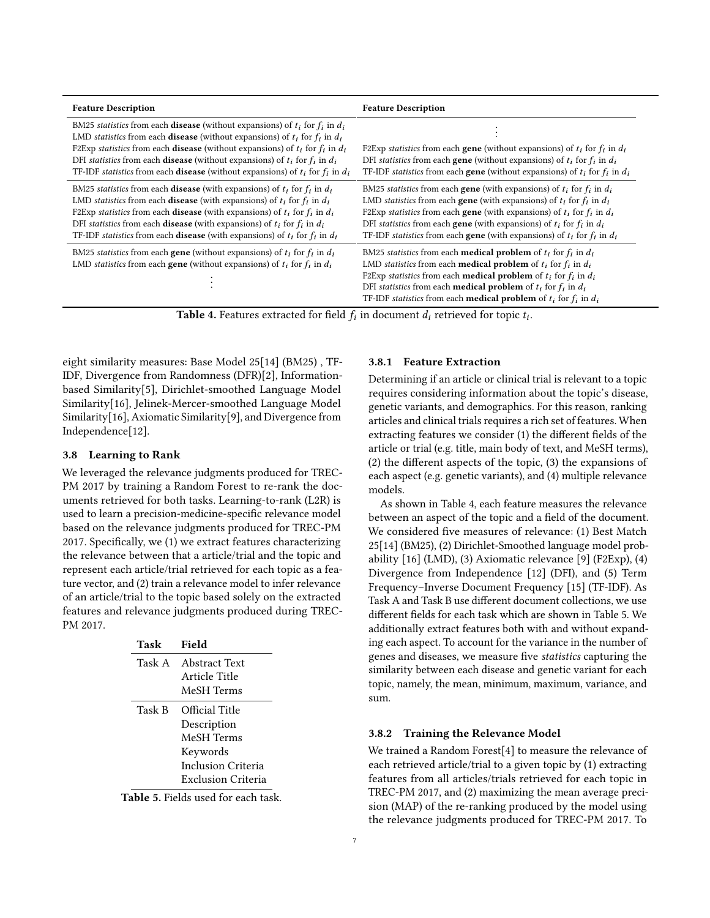<span id="page-6-0"></span>

| <b>Feature Description</b>                                                                                                                                                                                                                                                                                                                                                                                                                                                     | <b>Feature Description</b>                                                                                                                                                                                                                                                                                                                                                                                                                |
|--------------------------------------------------------------------------------------------------------------------------------------------------------------------------------------------------------------------------------------------------------------------------------------------------------------------------------------------------------------------------------------------------------------------------------------------------------------------------------|-------------------------------------------------------------------------------------------------------------------------------------------------------------------------------------------------------------------------------------------------------------------------------------------------------------------------------------------------------------------------------------------------------------------------------------------|
| BM25 statistics from each <b>disease</b> (without expansions) of $t_i$ for $f_i$ in $d_i$<br>LMD statistics from each <b>disease</b> (without expansions) of $t_i$ for $f_i$ in $d_i$<br>F2Exp statistics from each <b>disease</b> (without expansions) of $t_i$ for $f_i$ in $d_i$<br>DFI statistics from each <b>disease</b> (without expansions) of $t_i$ for $f_i$ in $d_i$<br>TF-IDF statistics from each <b>disease</b> (without expansions) of $t_i$ for $f_i$ in $d_i$ | F2Exp statistics from each <b>gene</b> (without expansions) of $t_i$ for $f_i$ in $d_i$<br>DFI statistics from each <b>gene</b> (without expansions) of $t_i$ for $f_i$ in $d_i$<br>TF-IDF statistics from each <b>gene</b> (without expansions) of $t_i$ for $f_i$ in $d_i$                                                                                                                                                              |
| BM25 statistics from each <b>disease</b> (with expansions) of $t_i$ for $f_i$ in $d_i$<br>LMD statistics from each <b>disease</b> (with expansions) of $t_i$ for $f_i$ in $d_i$<br>F2Exp statistics from each <b>disease</b> (with expansions) of $t_i$ for $f_i$ in $d_i$<br>DFI statistics from each <b>disease</b> (with expansions) of $t_i$ for $f_i$ in $d_i$<br>TF-IDF statistics from each <b>disease</b> (with expansions) of $t_i$ for $f_i$ in $d_i$                | BM25 statistics from each <b>gene</b> (with expansions) of $t_i$ for $f_i$ in $d_i$<br>LMD statistics from each <b>gene</b> (with expansions) of $t_i$ for $f_i$ in $d_i$<br>F2Exp statistics from each gene (with expansions) of $t_i$ for $f_i$ in $d_i$<br>DFI statistics from each <b>gene</b> (with expansions) of $t_i$ for $f_i$ in $d_i$<br>TF-IDF statistics from each <b>gene</b> (with expansions) of $t_i$ for $f_i$ in $d_i$ |
| BM25 statistics from each <b>gene</b> (without expansions) of $t_i$ for $f_i$ in $d_i$<br>LMD statistics from each <b>gene</b> (without expansions) of $t_i$ for $f_i$ in $d_i$                                                                                                                                                                                                                                                                                                | BM25 statistics from each <b>medical problem</b> of $t_i$ for $f_i$ in $d_i$<br>LMD statistics from each <b>medical problem</b> of $t_i$ for $f_i$ in $d_i$<br>F2Exp statistics from each <b>medical problem</b> of $t_i$ for $f_i$ in $d_i$<br>DFI statistics from each <b>medical problem</b> of $t_i$ for $f_i$ in $d_i$<br>TF-IDF statistics from each <b>medical problem</b> of $t_i$ for $f_i$ in $d_i$                             |

Table 4. Features extracted for field  $f_i$  in document  $d_i$  retrieved for topic  $t_i$ .

eight similarity measures: Base Model 25[\[14\]](#page-8-6) (BM25) , TF-IDF, Divergence from Randomness (DFR)[\[2\]](#page-8-7), Informationbased Similarity[\[5\]](#page-8-8), Dirichlet-smoothed Language Model Similarity[\[16\]](#page-8-9), Jelinek-Mercer-smoothed Language Model Similarity[\[16\]](#page-8-9), Axiomatic Similarity[\[9\]](#page-8-10), and Divergence from Independence[\[12\]](#page-8-11).

#### 3.8 Learning to Rank

We leveraged the relevance judgments produced for TREC-PM 2017 by training a Random Forest to re-rank the documents retrieved for both tasks. Learning-to-rank (L2R) is used to learn a precision-medicine-specific relevance model based on the relevance judgments produced for TREC-PM 2017. Specifically, we (1) we extract features characterizing the relevance between that a article/trial and the topic and represent each article/trial retrieved for each topic as a feature vector, and (2) train a relevance model to infer relevance of an article/trial to the topic based solely on the extracted features and relevance judgments produced during TREC-PM 2017.

<span id="page-6-1"></span>

| Task   | Field                |
|--------|----------------------|
|        | Task A Abstract Text |
|        | Article Title        |
|        | MeSH Terms           |
| Task B | Official Title       |
|        | Description          |
|        | MeSH Terms           |
|        | Keywords             |
|        | Inclusion Criteria   |
|        | Exclusion Criteria   |

Table 5. Fields used for each task.

#### 3.8.1 Feature Extraction

Determining if an article or clinical trial is relevant to a topic requires considering information about the topic's disease, genetic variants, and demographics. For this reason, ranking articles and clinical trials requires a rich set of features. When extracting features we consider (1) the different fields of the article or trial (e.g. title, main body of text, and MeSH terms), (2) the different aspects of the topic, (3) the expansions of each aspect (e.g. genetic variants), and (4) multiple relevance models.

As shown in Table [4,](#page-6-0) each feature measures the relevance between an aspect of the topic and a field of the document. We considered five measures of relevance: (1) Best Match 25[\[14\]](#page-8-6) (BM25), (2) Dirichlet-Smoothed language model probability [\[16\]](#page-8-9) (LMD), (3) Axiomatic relevance [\[9\]](#page-8-10) (F2Exp), (4) Divergence from Independence [\[12\]](#page-8-11) (DFI), and (5) Term Frequency–Inverse Document Frequency [\[15\]](#page-8-12) (TF-IDF). As Task A and Task B use different document collections, we use different fields for each task which are shown in Table [5.](#page-6-1) We additionally extract features both with and without expanding each aspect. To account for the variance in the number of genes and diseases, we measure five statistics capturing the similarity between each disease and genetic variant for each topic, namely, the mean, minimum, maximum, variance, and sum.

#### 3.8.2 Training the Relevance Model

We trained a Random Forest[\[4\]](#page-8-13) to measure the relevance of each retrieved article/trial to a given topic by (1) extracting features from all articles/trials retrieved for each topic in TREC-PM 2017, and (2) maximizing the mean average precision (MAP) of the re-ranking produced by the model using the relevance judgments produced for TREC-PM 2017. To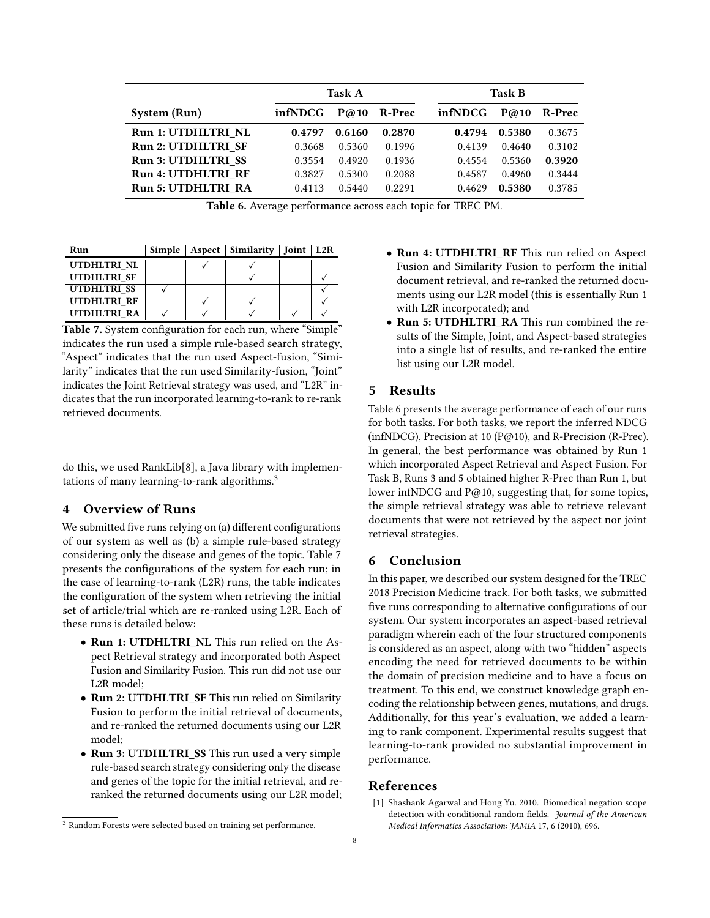<span id="page-7-3"></span>

|                           | Task A  |        |        | <b>Task B</b> |        |        |
|---------------------------|---------|--------|--------|---------------|--------|--------|
| System (Run)              | infNDCG | P@10   | R-Prec | infNDCG       | P@10   | R-Prec |
| Run 1: UTDHLTRI NL        | 0.4797  | 0.6160 | 0.2870 | 0.4794        | 0.5380 | 0.3675 |
| <b>Run 2: UTDHLTRI SF</b> | 0.3668  | 0.5360 | 0.1996 | 0.4139        | 0.4640 | 0.3102 |
| <b>Run 3: UTDHLTRI SS</b> | 0.3554  | 0.4920 | 0.1936 | 0.4554        | 0.5360 | 0.3920 |
| <b>Run 4: UTDHLTRI RF</b> | 0.3827  | 0.5300 | 0.2088 | 0.4587        | 0.4960 | 0.3444 |
| <b>Run 5: UTDHLTRI RA</b> | 0.4113  | 0.5440 | 0.2291 | 0.4629        | 0.5380 | 0.3785 |

Table 6. Average performance across each topic for TREC PM.

<span id="page-7-2"></span>

| Run         |  | Simple   Aspect   Similarity   Joint   L2R |  |
|-------------|--|--------------------------------------------|--|
| UTDHLTRI NL |  |                                            |  |
| UTDHLTRI SF |  |                                            |  |
| UTDHLTRI SS |  |                                            |  |
| UTDHLTRI RF |  |                                            |  |
| UTDHLTRI RA |  |                                            |  |

Table 7. System configuration for each run, where "Simple" indicates the run used a simple rule-based search strategy, "Aspect" indicates that the run used Aspect-fusion, "Similarity" indicates that the run used Similarity-fusion, "Joint" indicates the Joint Retrieval strategy was used, and "L2R" indicates that the run incorporated learning-to-rank to re-rank retrieved documents.

do this, we used RankLib[\[8\]](#page-8-14), a Java library with implemen-tations of many learning-to-rank algorithms.<sup>[3](#page-7-1)</sup>

# 4 Overview of Runs

We submitted five runs relying on (a) different configurations of our system as well as (b) a simple rule-based strategy considering only the disease and genes of the topic. Table [7](#page-7-2) presents the configurations of the system for each run; in the case of learning-to-rank (L2R) runs, the table indicates the configuration of the system when retrieving the initial set of article/trial which are re-ranked using L2R. Each of these runs is detailed below:

- Run 1: UTDHLTRI\_NL This run relied on the Aspect Retrieval strategy and incorporated both Aspect Fusion and Similarity Fusion. This run did not use our L2R model;
- Run 2: UTDHLTRI\_SF This run relied on Similarity Fusion to perform the initial retrieval of documents, and re-ranked the returned documents using our L2R model;
- Run 3: UTDHLTRI\_SS This run used a very simple rule-based search strategy considering only the disease and genes of the topic for the initial retrieval, and reranked the returned documents using our L2R model;

• Run 5: UTDHLTRI\_RA This run combined the results of the Simple, Joint, and Aspect-based strategies into a single list of results, and re-ranked the entire list using our L2R model.

# 5 Results

Table [6](#page-7-3) presents the average performance of each of our runs for both tasks. For both tasks, we report the inferred NDCG (infNDCG), Precision at 10 ( $P@10$ ), and R-Precision (R-Prec). In general, the best performance was obtained by Run 1 which incorporated Aspect Retrieval and Aspect Fusion. For Task B, Runs 3 and 5 obtained higher R-Prec than Run 1, but lower infNDCG and P@10, suggesting that, for some topics, the simple retrieval strategy was able to retrieve relevant documents that were not retrieved by the aspect nor joint retrieval strategies.

# 6 Conclusion

In this paper, we described our system designed for the TREC 2018 Precision Medicine track. For both tasks, we submitted five runs corresponding to alternative configurations of our system. Our system incorporates an aspect-based retrieval paradigm wherein each of the four structured components is considered as an aspect, along with two "hidden" aspects encoding the need for retrieved documents to be within the domain of precision medicine and to have a focus on treatment. To this end, we construct knowledge graph encoding the relationship between genes, mutations, and drugs. Additionally, for this year's evaluation, we added a learning to rank component. Experimental results suggest that learning-to-rank provided no substantial improvement in performance.

# References

<span id="page-7-0"></span>[1] Shashank Agarwal and Hong Yu. 2010. Biomedical negation scope detection with conditional random fields. Journal of the American Medical Informatics Association: JAMIA 17, 6 (2010), 696.

<sup>•</sup> Run 4: UTDHLTRI\_RF This run relied on Aspect Fusion and Similarity Fusion to perform the initial document retrieval, and re-ranked the returned documents using our L2R model (this is essentially Run 1 with L2R incorporated); and

<span id="page-7-1"></span><sup>3</sup> Random Forests were selected based on training set performance.